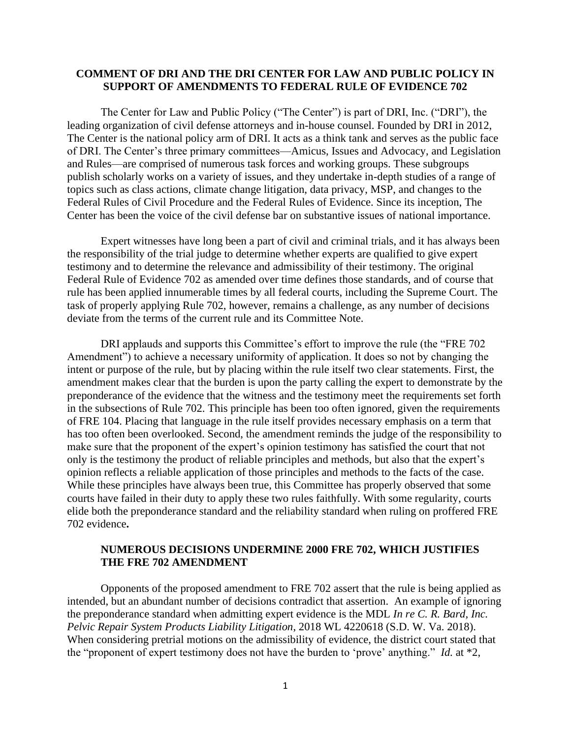## **COMMENT OF DRI AND THE DRI CENTER FOR LAW AND PUBLIC POLICY IN SUPPORT OF AMENDMENTS TO FEDERAL RULE OF EVIDENCE 702**

The Center for Law and Public Policy ("The Center") is part of DRI, Inc. ("DRI"), the leading organization of civil defense attorneys and in-house counsel. Founded by DRI in 2012, The Center is the national policy arm of DRI. It acts as a think tank and serves as the public face of DRI. The Center's three primary committees—Amicus, Issues and Advocacy, and Legislation and Rules—are comprised of numerous task forces and working groups. These subgroups publish scholarly works on a variety of issues, and they undertake in-depth studies of a range of topics such as class actions, climate change litigation, data privacy, MSP, and changes to the Federal Rules of Civil Procedure and the Federal Rules of Evidence. Since its inception, The Center has been the voice of the civil defense bar on substantive issues of national importance.

Expert witnesses have long been a part of civil and criminal trials, and it has always been the responsibility of the trial judge to determine whether experts are qualified to give expert testimony and to determine the relevance and admissibility of their testimony. The original Federal Rule of Evidence 702 as amended over time defines those standards, and of course that rule has been applied innumerable times by all federal courts, including the Supreme Court. The task of properly applying Rule 702, however, remains a challenge, as any number of decisions deviate from the terms of the current rule and its Committee Note.

DRI applauds and supports this Committee's effort to improve the rule (the "FRE 702 Amendment") to achieve a necessary uniformity of application. It does so not by changing the intent or purpose of the rule, but by placing within the rule itself two clear statements. First, the amendment makes clear that the burden is upon the party calling the expert to demonstrate by the preponderance of the evidence that the witness and the testimony meet the requirements set forth in the subsections of Rule 702. This principle has been too often ignored, given the requirements of FRE 104. Placing that language in the rule itself provides necessary emphasis on a term that has too often been overlooked. Second, the amendment reminds the judge of the responsibility to make sure that the proponent of the expert's opinion testimony has satisfied the court that not only is the testimony the product of reliable principles and methods, but also that the expert's opinion reflects a reliable application of those principles and methods to the facts of the case. While these principles have always been true, this Committee has properly observed that some courts have failed in their duty to apply these two rules faithfully. With some regularity, courts elide both the preponderance standard and the reliability standard when ruling on proffered FRE 702 evidence**.**

## **NUMEROUS DECISIONS UNDERMINE 2000 FRE 702, WHICH JUSTIFIES THE FRE 702 AMENDMENT**

Opponents of the proposed amendment to FRE 702 assert that the rule is being applied as intended, but an abundant number of decisions contradict that assertion. An example of ignoring the preponderance standard when admitting expert evidence is the MDL *In re C. R. Bard, Inc. Pelvic Repair System Products Liability Litigation*, 2018 WL 4220618 (S.D. W. Va. 2018). When considering pretrial motions on the admissibility of evidence, the district court stated that the "proponent of expert testimony does not have the burden to 'prove' anything." *Id.* at \*2,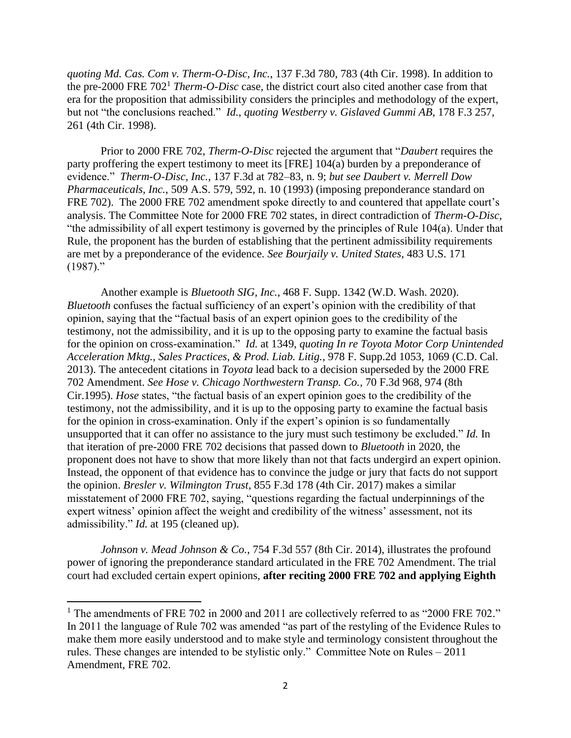*quoting Md. Cas. Com v. Therm-O-Disc, Inc.*, 137 F.3d 780, 783 (4th Cir. 1998). In addition to the pre-2000 FRE 702<sup>1</sup> *Therm-O-Disc* case, the district court also cited another case from that era for the proposition that admissibility considers the principles and methodology of the expert, but not "the conclusions reached." *Id.*, *quoting Westberry v. Gislaved Gummi AB*, 178 F.3 257, 261 (4th Cir. 1998).

Prior to 2000 FRE 702, *Therm-O-Disc* rejected the argument that "*Daubert* requires the party proffering the expert testimony to meet its [FRE] 104(a) burden by a preponderance of evidence." *Therm-O-Disc, Inc.*, 137 F.3d at 782–83, n. 9; *but see Daubert v. Merrell Dow Pharmaceuticals, Inc.*, 509 A.S. 579, 592, n. 10 (1993) (imposing preponderance standard on FRE 702). The 2000 FRE 702 amendment spoke directly to and countered that appellate court's analysis. The Committee Note for 2000 FRE 702 states, in direct contradiction of *Therm-O-Disc*, "the admissibility of all expert testimony is governed by the principles of Rule 104(a). Under that Rule, the proponent has the burden of establishing that the pertinent admissibility requirements are met by a preponderance of the evidence. *See Bourjaily v. United States*, 483 U.S. 171  $(1987)$ ."

Another example is *Bluetooth SIG, Inc.*, 468 F. Supp. 1342 (W.D. Wash. 2020). *Bluetooth* confuses the factual sufficiency of an expert's opinion with the credibility of that opinion, saying that the "factual basis of an expert opinion goes to the credibility of the testimony, not the admissibility, and it is up to the opposing party to examine the factual basis for the opinion on cross-examination." *Id.* at 1349, *quoting In re Toyota Motor Corp Unintended Acceleration Mktg., Sales Practices, & Prod. Liab. Litig.*, 978 F. Supp.2d 1053, 1069 (C.D. Cal. 2013). The antecedent citations in *Toyota* lead back to a decision superseded by the 2000 FRE 702 Amendment. *See Hose v. Chicago Northwestern Transp. Co.*, 70 F.3d 968, 974 (8th Cir.1995). *Hose* states, "the factual basis of an expert opinion goes to the credibility of the testimony, not the admissibility, and it is up to the opposing party to examine the factual basis for the opinion in cross-examination. Only if the expert's opinion is so fundamentally unsupported that it can offer no assistance to the jury must such testimony be excluded." *Id.* In that iteration of pre-2000 FRE 702 decisions that passed down to *Bluetooth* in 2020, the proponent does not have to show that more likely than not that facts undergird an expert opinion. Instead, the opponent of that evidence has to convince the judge or jury that facts do not support the opinion. *Bresler v. Wilmington Trust*, 855 F.3d 178 (4th Cir. 2017) makes a similar misstatement of 2000 FRE 702, saying, "questions regarding the factual underpinnings of the expert witness' opinion affect the weight and credibility of the witness' assessment, not its admissibility." *Id.* at 195 (cleaned up).

*Johnson v. Mead Johnson & Co.*, 754 F.3d 557 (8th Cir. 2014), illustrates the profound power of ignoring the preponderance standard articulated in the FRE 702 Amendment. The trial court had excluded certain expert opinions, **after reciting 2000 FRE 702 and applying Eighth** 

<sup>&</sup>lt;sup>1</sup> The amendments of FRE 702 in 2000 and 2011 are collectively referred to as "2000 FRE 702." In 2011 the language of Rule 702 was amended "as part of the restyling of the Evidence Rules to make them more easily understood and to make style and terminology consistent throughout the rules. These changes are intended to be stylistic only." Committee Note on Rules – 2011 Amendment, FRE 702.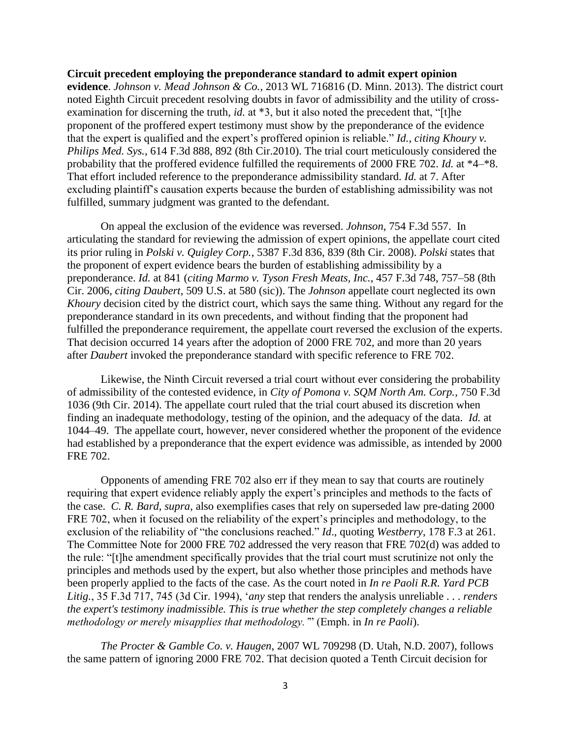**Circuit precedent employing the preponderance standard to admit expert opinion evidence**. *Johnson v. Mead Johnson & Co.*, 2013 WL 716816 (D. Minn. 2013). The district court noted Eighth Circuit precedent resolving doubts in favor of admissibility and the utility of crossexamination for discerning the truth, *id.* at \*3, but it also noted the precedent that, "[t]he proponent of the proffered expert testimony must show by the preponderance of the evidence that the expert is qualified and the expert's proffered opinion is reliable." *Id.*, *citing Khoury v. Philips Med. Sys.*, 614 F.3d 888, 892 (8th Cir.2010). The trial court meticulously considered the probability that the proffered evidence fulfilled the requirements of 2000 FRE 702. *Id.* at \*4–\*8. That effort included reference to the preponderance admissibility standard. *Id.* at 7. After excluding plaintiff's causation experts because the burden of establishing admissibility was not fulfilled, summary judgment was granted to the defendant.

On appeal the exclusion of the evidence was reversed. *Johnson*, 754 F.3d 557. In articulating the standard for reviewing the admission of expert opinions, the appellate court cited its prior ruling in *Polski v. Quigley Corp.*, 5387 F.3d 836, 839 (8th Cir. 2008). *Polski* states that the proponent of expert evidence bears the burden of establishing admissibility by a preponderance. *Id.* at 841 (*citing Marmo v. Tyson Fresh Meats, Inc.*, 457 F.3d 748, 757–58 (8th Cir. 2006, *citing Daubert*, 509 U.S. at 580 (sic)). The *Johnson* appellate court neglected its own *Khoury* decision cited by the district court, which says the same thing. Without any regard for the preponderance standard in its own precedents, and without finding that the proponent had fulfilled the preponderance requirement, the appellate court reversed the exclusion of the experts. That decision occurred 14 years after the adoption of 2000 FRE 702, and more than 20 years after *Daubert* invoked the preponderance standard with specific reference to FRE 702.

Likewise, the Ninth Circuit reversed a trial court without ever considering the probability of admissibility of the contested evidence, in *City of Pomona v. SQM North Am. Corp.*, 750 F.3d 1036 (9th Cir. 2014). The appellate court ruled that the trial court abused its discretion when finding an inadequate methodology, testing of the opinion, and the adequacy of the data. *Id.* at 1044–49. The appellate court, however, never considered whether the proponent of the evidence had established by a preponderance that the expert evidence was admissible, as intended by 2000 FRE 702.

Opponents of amending FRE 702 also err if they mean to say that courts are routinely requiring that expert evidence reliably apply the expert's principles and methods to the facts of the case. *C. R. Bard, supra,* also exemplifies cases that rely on superseded law pre-dating 2000 FRE 702, when it focused on the reliability of the expert's principles and methodology, to the exclusion of the reliability of "the conclusions reached." *Id*., quoting *Westberry*, 178 F.3 at 261. The Committee Note for 2000 FRE 702 addressed the very reason that FRE 702(d) was added to the rule: "[t]he amendment specifically provides that the trial court must scrutinize not only the principles and methods used by the expert, but also whether those principles and methods have been properly applied to the facts of the case. As the court noted in *In re Paoli R.R. Yard PCB Litig.*, 35 F.3d 717, 745 (3d Cir. 1994), '*any* step that renders the analysis unreliable . . . *renders the expert's testimony inadmissible. This is true whether the step completely changes a reliable methodology or merely misapplies that methodology.'*" (Emph. in *In re Paoli*).

*The Procter & Gamble Co. v. Haugen*, 2007 WL 709298 (D. Utah, N.D. 2007), follows the same pattern of ignoring 2000 FRE 702. That decision quoted a Tenth Circuit decision for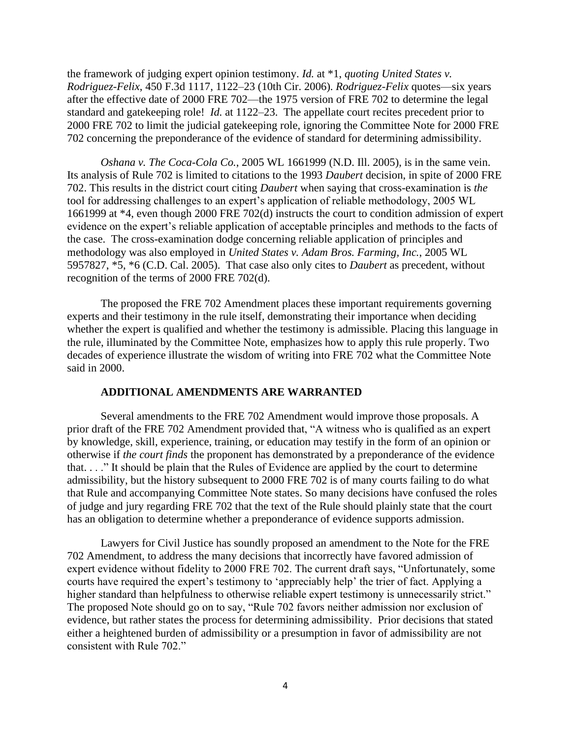the framework of judging expert opinion testimony. *Id.* at \*1, *quoting United States v. Rodriguez-Felix*, 450 F.3d 1117, 1122–23 (10th Cir. 2006). *Rodriguez-Felix* quotes—six years after the effective date of 2000 FRE 702—the 1975 version of FRE 702 to determine the legal standard and gatekeeping role! *Id.* at 1122–23. The appellate court recites precedent prior to 2000 FRE 702 to limit the judicial gatekeeping role, ignoring the Committee Note for 2000 FRE 702 concerning the preponderance of the evidence of standard for determining admissibility.

*Oshana v. The Coca-Cola Co.*, 2005 WL 1661999 (N.D. Ill. 2005), is in the same vein. Its analysis of Rule 702 is limited to citations to the 1993 *Daubert* decision, in spite of 2000 FRE 702. This results in the district court citing *Daubert* when saying that cross-examination is *the* tool for addressing challenges to an expert's application of reliable methodology, 2005 WL 1661999 at \*4, even though 2000 FRE 702(d) instructs the court to condition admission of expert evidence on the expert's reliable application of acceptable principles and methods to the facts of the case. The cross-examination dodge concerning reliable application of principles and methodology was also employed in *United States v. Adam Bros. Farming, Inc.*, 2005 WL 5957827, \*5, \*6 (C.D. Cal. 2005). That case also only cites to *Daubert* as precedent, without recognition of the terms of 2000 FRE 702(d).

The proposed the FRE 702 Amendment places these important requirements governing experts and their testimony in the rule itself, demonstrating their importance when deciding whether the expert is qualified and whether the testimony is admissible. Placing this language in the rule, illuminated by the Committee Note, emphasizes how to apply this rule properly. Two decades of experience illustrate the wisdom of writing into FRE 702 what the Committee Note said in 2000.

## **ADDITIONAL AMENDMENTS ARE WARRANTED**

Several amendments to the FRE 702 Amendment would improve those proposals. A prior draft of the FRE 702 Amendment provided that, "A witness who is qualified as an expert by knowledge, skill, experience, training, or education may testify in the form of an opinion or otherwise if *the court finds* the proponent has demonstrated by a preponderance of the evidence that. . . ." It should be plain that the Rules of Evidence are applied by the court to determine admissibility, but the history subsequent to 2000 FRE 702 is of many courts failing to do what that Rule and accompanying Committee Note states. So many decisions have confused the roles of judge and jury regarding FRE 702 that the text of the Rule should plainly state that the court has an obligation to determine whether a preponderance of evidence supports admission.

Lawyers for Civil Justice has soundly proposed an amendment to the Note for the FRE 702 Amendment, to address the many decisions that incorrectly have favored admission of expert evidence without fidelity to 2000 FRE 702. The current draft says, "Unfortunately, some courts have required the expert's testimony to 'appreciably help' the trier of fact. Applying a higher standard than helpfulness to otherwise reliable expert testimony is unnecessarily strict." The proposed Note should go on to say, "Rule 702 favors neither admission nor exclusion of evidence, but rather states the process for determining admissibility. Prior decisions that stated either a heightened burden of admissibility or a presumption in favor of admissibility are not consistent with Rule 702."